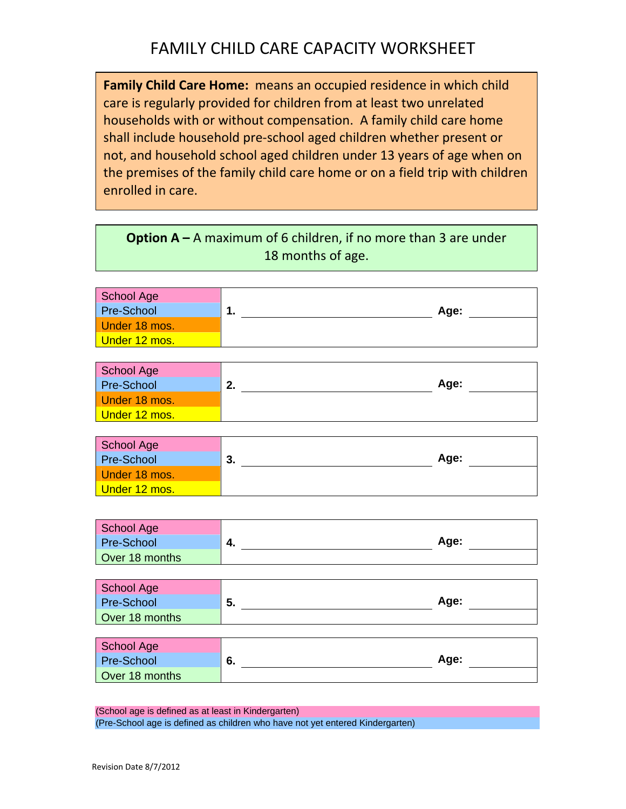**Family Child Care Home:** means an occupied residence in which child care is regularly provided for children from at least two unrelated households with or without compensation. A family child care home shall include household pre-school aged children whether present or not, and household school aged children under 13 years of age when on the premises of the family child care home or on a field trip with children enrolled in care.

**Option A –** A maximum of 6 children, if no more than 3 are under 18 months of age.

| School Age        |             |  |
|-------------------|-------------|--|
| <b>Pre-School</b> | Age:<br>. . |  |
| Under 18 mos.     |             |  |
| Under 12 mos.     |             |  |

| School Age        |         |      |  |
|-------------------|---------|------|--|
| <b>Pre-School</b> | <u></u> | Age: |  |
| Under 18 mos.     |         |      |  |
| Under 12 mos.     |         |      |  |

| School Age        |          |      |  |
|-------------------|----------|------|--|
| <b>Pre-School</b> | າ<br>.ა. | Age: |  |
| Under 18 mos.     |          |      |  |
| Under 12 mos.     |          |      |  |

| School Age        |    |      |  |
|-------------------|----|------|--|
| <b>Pre-School</b> | 4. | Age: |  |
| Over 18 months    |    |      |  |

| School Age        |     |      |  |
|-------------------|-----|------|--|
| <b>Pre-School</b> | -5. | Age: |  |
| Over 18 months    |     |      |  |

| School Age        |         |      |
|-------------------|---------|------|
| <b>Pre-School</b> | ∼<br>o. | Age: |
| Over 18 months    |         |      |

(School age is defined as at least in Kindergarten) (Pre-School age is defined as children who have not yet entered Kindergarten)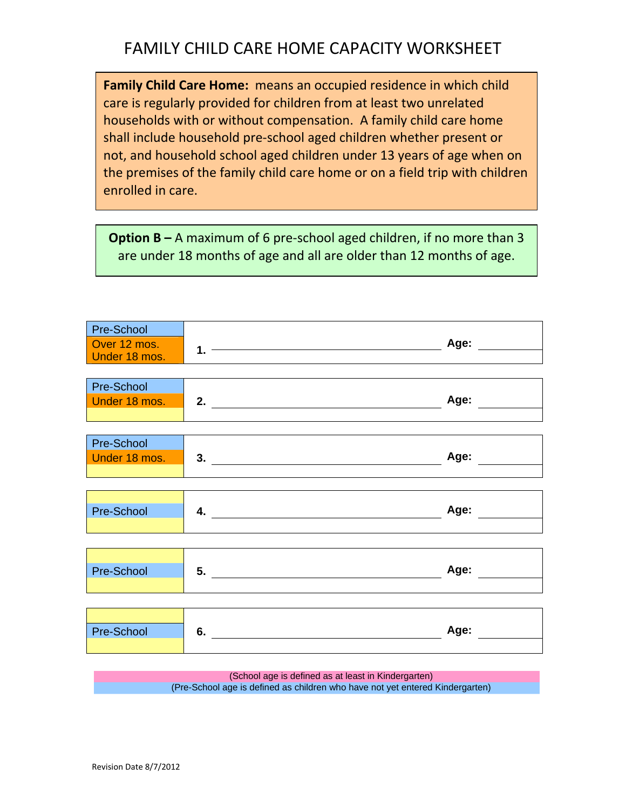## FAMILY CHILD CARE HOME CAPACITY WORKSHEET

**Family Child Care Home:** means an occupied residence in which child care is regularly provided for children from at least two unrelated households with or without compensation. A family child care home shall include household pre-school aged children whether present or not, and household school aged children under 13 years of age when on the premises of the family child care home or on a field trip with children enrolled in care.

**Option B –** A maximum of 6 pre-school aged children, if no more than 3 are under 18 months of age and all are older than 12 months of age.

| Pre-School<br>Over 12 mos.<br>Under 18 mos. | <u>1. ——————————————</u> | Age: |
|---------------------------------------------|--------------------------|------|
| Pre-School<br>Under 18 mos.                 | 2. $\qquad \qquad$       | Age: |
| Pre-School<br>Under 18 mos.                 | $\overline{\phantom{a}}$ | Age: |
| Pre-School                                  |                          | Age: |
| Pre-School                                  | 5. $\qquad \qquad$       | Age: |
| Pre-School                                  | 6. $\qquad \qquad$       | Age: |

(School age is defined as at least in Kindergarten) (Pre-School age is defined as children who have not yet entered Kindergarten)